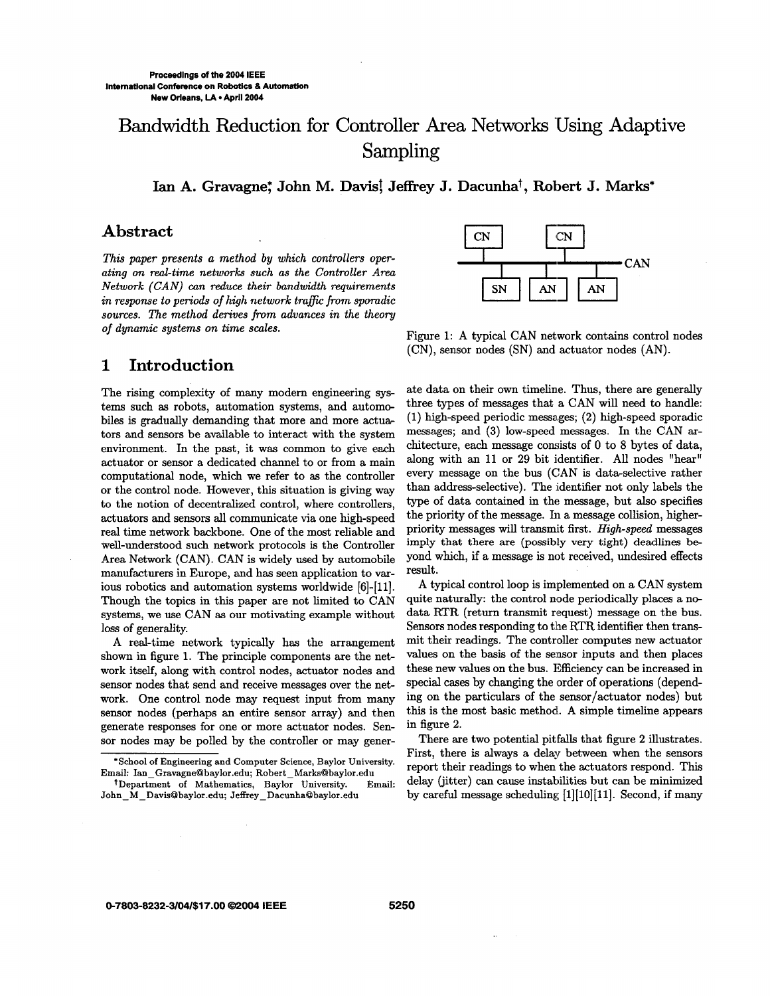# Bandwidth Reduction for Controller Area Networks Using Adaptive Sampling

Ian A. Gravagne; John M. Davis<sup>†</sup>, Jeffrey J. Dacunha<sup>†</sup>, Robert J. Marks<sup>\*</sup>

### **Abstract**

*This paper presents a method by which controllers operating on real-time networks such as the Controller Area Network (CAN) can reduce their bandwidth requirements in response to periods* of *high network traffic from sporadic sources. The method derives from advances in the theory*  of *dynamic systems on time scales.* 

#### **1 Introduction**

The rising complexity of many modern engineering systems such **as** robots, automation systems, and automobiles is gradually demanding that more and more actuators and sensors be available to interact with the system environment. In the past, it was common to give each actuator or sensor a dedicated channel to or from a main computational node, which we refer to **as** the controller or the control node. However, this situation is giving way to the notion of decentralized control, where controllers, actuators and sensors all communicate via one high-speed real time network backbone. One of the most reliable and well-understood such network protocols is the Controller Area Network (CAN). CAN is widely used by automobile manufacturers in Europe, and has **seen** application to various robotics and automation systems worldwide [6]-[ll]. Though the topics in this paper are not limited to CAN systems, we use CAN **as** our motivating example without loss of generality.

A real-time network typically has the arrangement shown in figure 1. The principle components are the network itself, along with control nodes, actuator nodes and sensor nodes that send and receive messages over the network. One control node may request input from many sensor nodes (perhaps an entire sensor array) and then generate responses for one or more actuator nodes. Sensor nodes may be polled by the controller or may gener-



Figure 1: **A** typical CAN network contains control nodes (CN), sensor nodes (SN) and actuator nodes (AN).

ate data on their own timeline. Thus, there are generally three types of messages that a CAN will need to handle:  $(1)$  high-speed periodic messages;  $(2)$  high-speed sporadic messages; and **(3)** low-speed messages. **In** the CAN **ar**chitecture, each message consists of 0 to 8 bytes of data, along with an 11 or **29** bit identifier. All nodes "hear" every message on the bus (CAN is data-selective rather than address-selective). The identifier not only labels the type of data contained in the message, but also specifies the priority of the message. In a message collision, higherpriority messages will transmit first. *High-speed* messages imply that there are (possibly very tight) deadlines beyond which, if a message is not received, undesired effects result.

A typical control loop is implemented on a CAN system quite naturally: the control node periodically places a nodata RTR (return transmit request) message on the bus. Sensors nodes responding to the RTR identifier then transmit their readings. The controller computes new actuator values on the basis of the sensor inputs and then places these new values on the bus. Efficiency can be increased in special cases by changing the order of operations (depending on the particulars of the sensor/actuator nodes) but this is the most basic methodi. **A** simple timeline appears in figure 2.

There are two potential pitfalls that figure **2** illustrates. First, there is always a delay between when the sensors report their readings to when the actuators respond. This delay (jitter) can cause instahilities but can be minimized by careful message scheduling [1][10][11]. Second, if many

**Email: Ian-Gravagne@baylor.edu; [Robert-MarksBbaylor.edu](http://Robert-MarksBbaylor.edu)  \*School of Engineering and Computer Science, Baylor University.** 

**John-M-DavisObaylor.edu; [Jeffrey-DacunhaBbaylor.edu](http://Jeffrey-DacunhaBbaylor.edu)  +Department of Mathematics, Baylor University. Email:**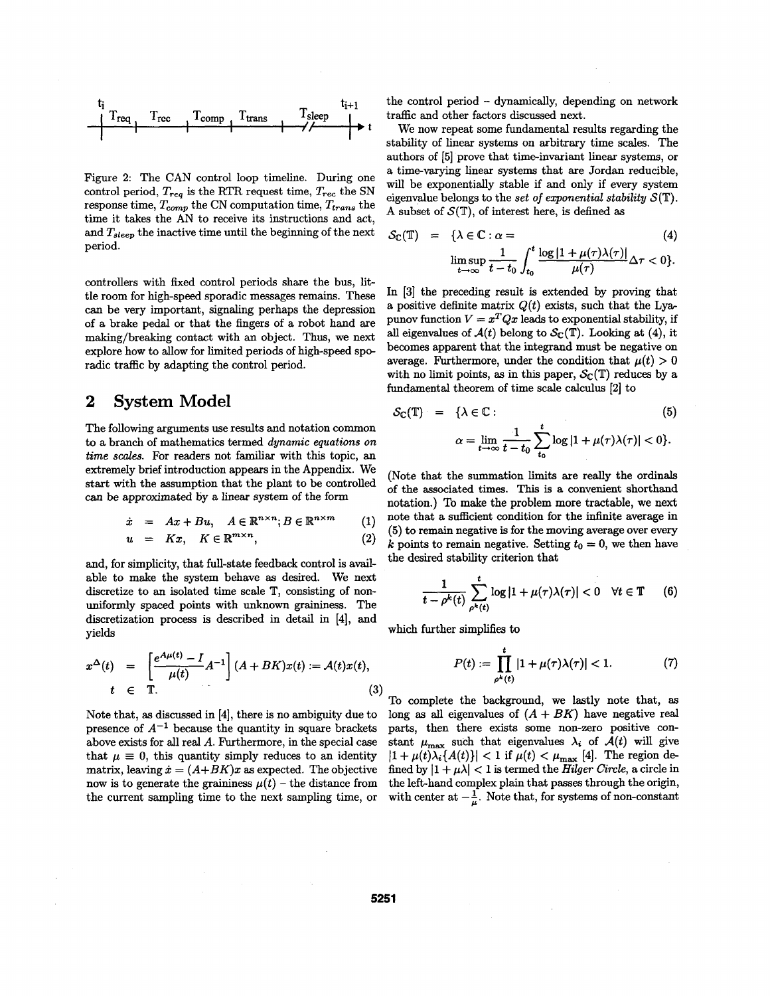

Figure 2: The CAN control loop timeline. During one control period,  $T_{req}$  is the RTR request time,  $T_{rec}$  the SN response time,  $T_{comp}$  the CN computation time,  $T_{trans}$  the time it takes the AN to receive its instructions and act, and *Tsleep* the inactive time until the beginning of the next period.

controllers with fixed control periods share the bus, **lit**tle room for high-speed sporadic messages remains. These can be very important, signaling perhaps the depression of a brake pedal or that the fingers of a robot hand axe making/breaking contact with an object. Thus, we next explore how to allow for limited periods of high-speed sporadic traffic by adapting the control period.

## **2 System Model**

The following arguments use results and notation common to a branch of mathematics termed *dynamic equations on time scales.* For readers not familiar with this topic, an extremely brief introduction appears in the Appendix. We start with the assumption that the plant to be controlled can be approximated by a linear system of the form

$$
\dot{x} = Ax + Bu, \quad A \in \mathbb{R}^{n \times n}; B \in \mathbb{R}^{n \times m} \qquad (1)
$$

$$
u = Kx, \quad K \in \mathbb{R}^{m \times n}, \tag{2}
$$

and, for simplicity, that full-state feedback control is available to make the system behave **as** desired. We next discretize to an isolated time scale T, consisting of nonuniformly spaced points with unknown graininess. The discretization process is described in detail in **[4],** and yields

$$
x^{\Delta}(t) = \left[\frac{e^{A\mu(t)} - I}{\mu(t)}A^{-1}\right](A + BK)x(t) := \mathcal{A}(t)x(t),
$$
  

$$
t \in \mathbb{T}.
$$
 (3)

presence of  $A^{-1}$  because the quantity in square brackets above exists for all real *A*. Furthermore, in the special case stant  $\mu_{\text{max}}$  such that eigenvalues  $\lambda_i$  of  $\mathcal{A}(t)$  will give that  $\mu \equiv 0$ , this quantity simply reduces to an identity  $|1 + \mu(t)\lambda_i(A(t))| < 1$  if  $\mu(t) < \mu_{\max}$  [4]. The region dematrix, leaving  $\dot{x} = (A+BK)x$  as expected. The objective fined by  $|1 + \mu\lambda| < 1$  is termed the *Hilger Circle*, a circle in now is to generate the graininess  $\mu(t)$  – the distance from the left-hand complex plain that passes through the origin, the current sampling time to the next sampling time, or with center at  $-\frac{1}{n}$ . Note that, for sys

 $T_{\text{comm}}$  T<sub>sleep</sub>  $T_{\text{sleep}}$  T<sub>sleep</sub>  $T_{\text{t}}$  the control period - dynamically, depending on network traffic and other factors discussed next.

We now repeat some fundamental results regarding the stability of linear systems on arbitrary time scales. The authors of  $[5]$  prove that time-invariant linear systems, or a time-varying linear systems that are Jordan reducible. will be exponentially stable if and only if every system eigenvalue belongs to the *set of exponential stability* **S(T).**  A subset of  $S(\mathbb{T})$ , of interest here, is defined as

$$
S_{\mathbb{C}}(\mathbb{T}) = \{ \lambda \in \mathbb{C} : \alpha = \limsup_{t \to \infty} \frac{1}{t - t_0} \int_{t_0}^t \frac{\log|1 + \mu(\tau)\lambda(\tau)|}{\mu(\tau)} \Delta \tau < 0 \}.
$$
\n(4)

In **[3]** the preceding result is extended by proving that a positive definite matrix  $Q(t)$  exists, such that the Lyapunov function  $V = x^T Q x$  leads to exponential stability, if all eigenvalues of  $\mathcal{A}(t)$  belong to  $\mathcal{S}_{\mathbb{C}}(\mathbb{T})$ . Looking at (4), it becomes apparent that the integrand must be negative on average. Furthermore, under the condition that  $\mu(t) > 0$ fundamental theorem of time scale calculus **[2]** to

with no limit points, as in this paper, 
$$
\mathcal{S}_{\mathbb{C}}(\mathbb{T})
$$
 reduces by a fundamental theorem of time scale calculus [2] to\n
$$
\mathcal{S}_{\mathbb{C}}(\mathbb{T}) = \{ \lambda \in \mathbb{C} : \qquad (5)
$$
\n
$$
\alpha = \lim_{t \to \infty} \frac{1}{t - t_0} \sum_{t_0}^t \log |1 + \mu(\tau)\lambda(\tau)| < 0 \}.
$$

(Note that the summation limits are really the ordinals of the associated times. **This** is a convenient shorthand notation.) To make the problem **more** tractable, we next note that a sufficient condition for the infinite average in **(5)** to remain negative is for the moving average over every *k* points to remain negative. Setting  $t_0 = 0$ , we then have the desired stability criterion that

$$
\frac{1}{t-\rho^k(t)}\sum_{\rho^k(t)}^t \log|1+\mu(\tau)\lambda(\tau)|<0 \quad \forall t\in\mathbb{T} \qquad (6)
$$

which further simplifies to

$$
P(t) := \prod_{\rho^k(t)}^t |1 + \mu(\tau)\lambda(\tau)| < 1. \tag{7}
$$

To complete the background, we lastly note that, **as**  Note that, as discussed in [4], there is no ambiguity due to long as all eigenvalues of  $(A + BK)$  have negative real presence of  $A^{-1}$  because the quantity in square brackets parts, then there exists some non-zero positive with center at  $-\frac{1}{\mu}$ . Note that, for systems of non-constant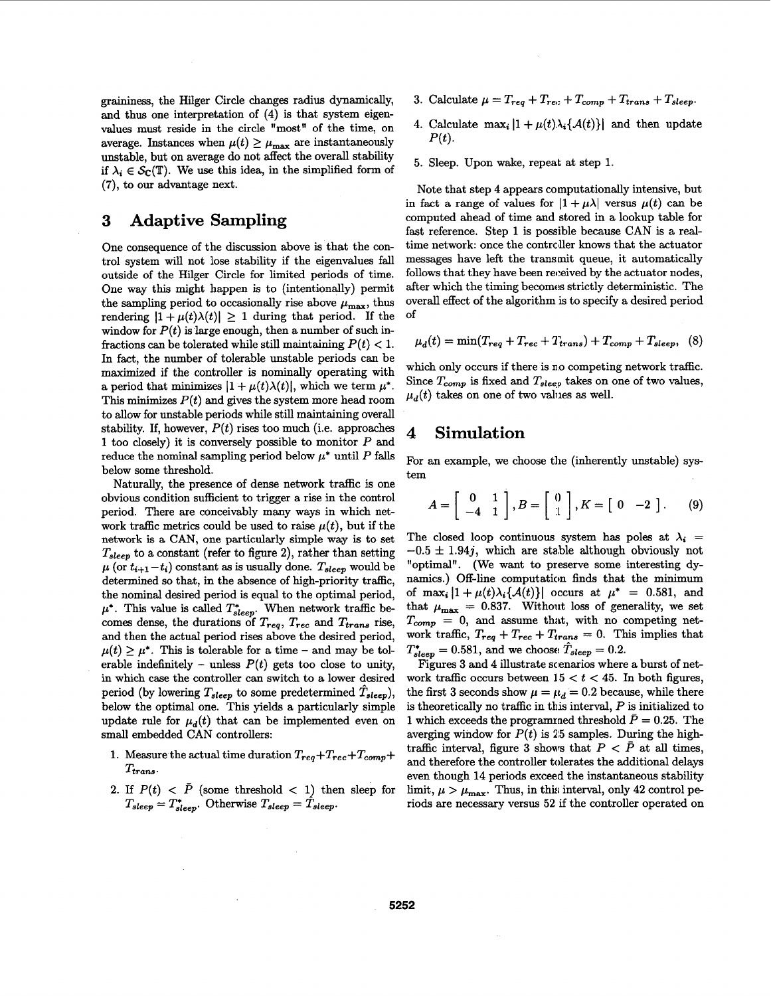**graininess,** the Hilger Circle changes radius dynamically, and thus one interpretation of **(4)** is that system eigenvalues must reside in the circle "most" of the time, on average. Instances when  $\mu(t) \geq \mu_{\text{max}}$  are instantaneously unstable, but on average do not affect the overall stability if  $\lambda_i \in \mathcal{S}_C(\mathbb{T})$ . We use this idea, in the simplified form of **(7),** to our advantage next.

## **3 Adaptive Sampling**

One consequence of the discussion above is that the control system will not lose stability if the eigenvalues fall outside of the Hilger Circle for limited periods of time. One way this might happen is to (intentionally) permit the sampling period to occasionally rise above  $\mu_{\text{max}}$ , thus rendering  $|1 + \mu(t)\lambda(t)| \ge 1$  during that period. If the window for  $P(t)$  is large enough, then a number of such infractions can be tolerated while still maintaining  $P(t) < 1$ . In fact, the number of tolerable unstable periods can be maximized if the controller is nominally operating with a period that minimizes  $|1 + \mu(t)\lambda(t)|$ , which we term  $\mu^*$ . This minimizes  $P(t)$  and gives the system more head room to allow for unstable periods while still maintaining overall stability. If, however,  $P(t)$  rises too much (i.e. approaches **1** too closely) it is conversely possible to monitor *P* and reduce the nominal sampling period below  $\mu^*$  until  $P$  falls below some threshold.

Naturally, the presence of dense network traffic is one obvious condition sufficient to trigger a rise in the control period. There are conceivably many ways in which network traffic metrics could be used to raise  $\mu(t)$ , but if the network is a *CAN,* **one** particularly simple **way** is to set *Tsleep* to a constant (refer to figure **2),** rather than setting  $\mu$  (or  $t_{i+1} - t_i$ ) constant as is usually done.  $T_{sleep}$  would be determined so that, in the absence of high-priority traffic, the nominal desired period is equal to the optimal period,  $\mu^*$ . This value is called  $T_{sleep}^*$ . When network traffic becomes dense, the durations of  $T_{req}$ ,  $T_{rec}$  and  $T_{trans}$  rise, and then the actual period rises above the desired period,  $\mu(t) \geq \mu^*$ . This is tolerable for a time - and may be tolerable indefinitely - unless  $P(t)$  gets too close to unity, in which case the controller can switch to a lower desired period (by lowering  $T_{sleep}$  to some predetermined  $T_{sleep}$ ), below the optimal one. This yields a particularly simple update rule for  $\mu_d(t)$  that can be implemented even on small embedded CAN controllers:

- 1. Measure the actual time duration  $T_{req} + T_{rec} + T_{cor}$  $T_{trans}$
- 2. If  $P(t) < \bar{P}$  (some threshold  $< 1$ ) then sleep for  $T_{sleep} = T_{sleep}^*$ . Otherwise  $T_{sleep} = T_{sleep}$ .
- 3. Calculate  $\mu = T_{req} + T_{rec} + T_{comp} + T_{trans} + T_{sleep}$ .
- 4. Calculate  $\max_i |1 + \mu(t)\lambda_i\{\mathcal{A}(t)\}\|$  and then update  $P(t).$
- **5.** Sleep. Upon wake, repeat at step **1.**

Note that step **4** appears computationally intensive, but in fact a range of values for  $|1 + \mu\lambda|$  versus  $\mu(t)$  can be computed ahead of time **and** stored in a lookup table for fast reference. Step **1** is possible because CAN is a realtime network: once the controller knows that the actuator messages have left the transmit queue, it automatically follows that they have been received by the actuator nodes, after which the timing becomes strictly deterministic. The overall effect of the algorithm is to specify a desired period of

$$
\mu_d(t) = \min(T_{req} + T_{rec} + T_{trans}) + T_{comp} + T_{sleep}, \quad (8)
$$

which only occurs if there is no competing network traffic. Since  $T_{comp}$  is fixed and  $T_{sleep}$  takes on one of two values,  $\mu_d(t)$  takes on one of two values as well.

#### **4 Simulation**

For an example, we choose the (inherently unstable) system

$$
A = \left[ \begin{array}{cc} 0 & 1 \\ -4 & 1 \end{array} \right], B = \left[ \begin{array}{c} 0 \\ 1 \end{array} \right], K = \left[ \begin{array}{cc} 0 & -2 \end{array} \right]. \tag{9}
$$

The closed loop continuous system has poles at  $\lambda_i$  $-0.5 \pm 1.94j$ , which are stable although obviously not "optimal". (We want to preserve some interesting dynamics.) Off-line computation finds that the minimum of  $\max_i |1 + \mu(t)\lambda_i\{\mathcal{A}(t)\}\right]$  occurs at  $\mu^* = 0.581$ , and that  $\mu_{\text{max}} = 0.837$ . Without loss of generality, we set  $T_{comp} = 0$ , and assume that, with no competing network traffic,  $T_{req} + T_{rec} + T_{trans} = 0$ . This implies that  $T_{sleep}^* = 0.581$ , and we choose  $\hat{T}_{sleep} = 0.2$ .

Figures 3 and 4 illustrate scenarios where a burst of network traffic occurs between  $15 < t < 45$ . In both figures, the first 3 seconds show  $\mu = \mu_d = 0.2$  because, while there is theoretically no traffic in this interval, *P* is initialized to 1 which exceeds the programmed threshold  $\bar{P} = 0.25$ . The averging window for  $P(t)$  is 25 samples. During the hightraffic interval, figure 3 shows that  $P < \bar{P}$  at all times, and therefore the controller tolerates the additional delays even though **14** periods exceed the instantaneous stability limit,  $\mu > \mu_{\text{max}}$ . Thus, in this interval, only 42 control periods are necessary versus **52** if the controller operated on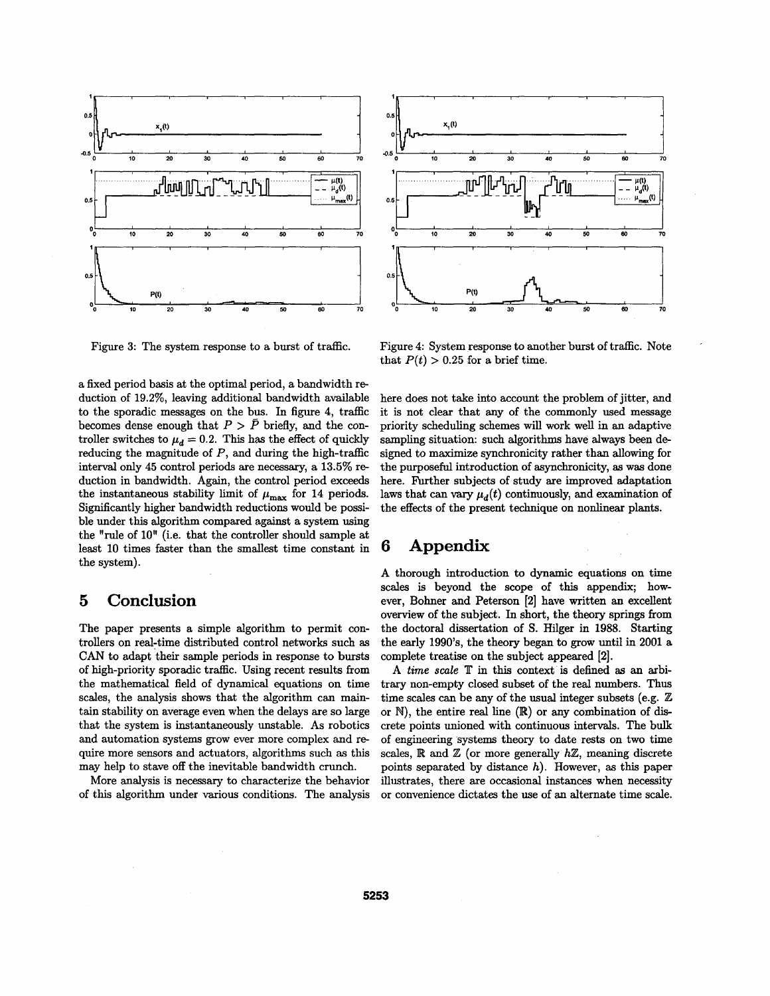

Figure **3:** The system response to a burst of traffic.

a fixed period basis at the optimal period, a bandwidth **re**duction of 19.2%, leaving additional bandwidth available to the sporadic messages on the bus. In figure **4,** traffic becomes dense enough that  $P > \bar{P}$  briefly, and the controller switches to  $\mu_d = 0.2$ . This has the effect of quickly reducing the magnitude of *P,* and during the high-traffic interval only **45** control periods are **necessary,** a **13.5% re**duction in bandwidth. **Again,** the control period exceeds the instantaneous stability limit of  $\mu_{\text{max}}$  for 14 periods. Significantly higher bandwidth reductions would be possible under this algorithm compared against a system using the "rule of 10" (i.e. that the controller should sample at least 10 times faster than the smallest time constant in the system).

## *5* **Conclusion**

The paper presents a simple algorithm to permit controllers on real-time distributed control networks such as *CAN* to adapt their sample periods in response to bursts of high-priority sporadic traffic. Using recent results from the mathematical field of dynamical equations on time scales, the analysis shows that the algorithm can maintain stability on average even when the delays are *so* large that the system is instantaneously unstable. **As** robotics and automation systems grow ever more complex and require more sensors and actuators, algorithms such as this may help to stave off the inevitable bandwidth crunch.

More analysis is necessary to characterize the behavior of this algorithm under various conditions. The analysis



Figure **4:** System response to another burst of traffic. Note that  $P(t) > 0.25$  for a brief time.

'

here does not take into account the problem of jitter, and it is not clear that any of the commonly used message priority scheduling schemes will work well in an adaptive sampling situation: **such** algorithms have always been designed to maximize synchronicity rather than allowing for the purposeful introduction of asynchronicity, **as** was done here. Further subjects of study are improved adaptation laws that can vary  $\mu_d(t)$  continuously, and examination of the effects of the present technique on nonlinear plants.

# *6* **Appendix**

**A** thorough introduction to dynamic equations on time scales is beyond the scope of this appendix; however, Bohner **and** Peterson [2] have written an excellent overview of the subject. In short, the theory springs from the doctoral dissertation of *S.* Hilger in **1988.** Starting the early 199O's, the theory began to grow until in 2001 **a**  complete treatise on the subject appeared [2].

A *time scale*  $T$  in this context is defined as an arbitrary non-empty closed subset **of** the real numbers. **Thus**  time scales can be any of the usual integer subsets (e.g. Z or **M),** the entire real line (W) or any combination of **dis**crete points unioned with continuous intervals. The bulk of engineering systems theory to date rests on two time scales, R and Z (or more generally *hZ,* meaning discrete points separated by distance *h).* However, **as** this paper illustrates, there are occasional instances when necessity or convenience dictates the use of an alternate time scale.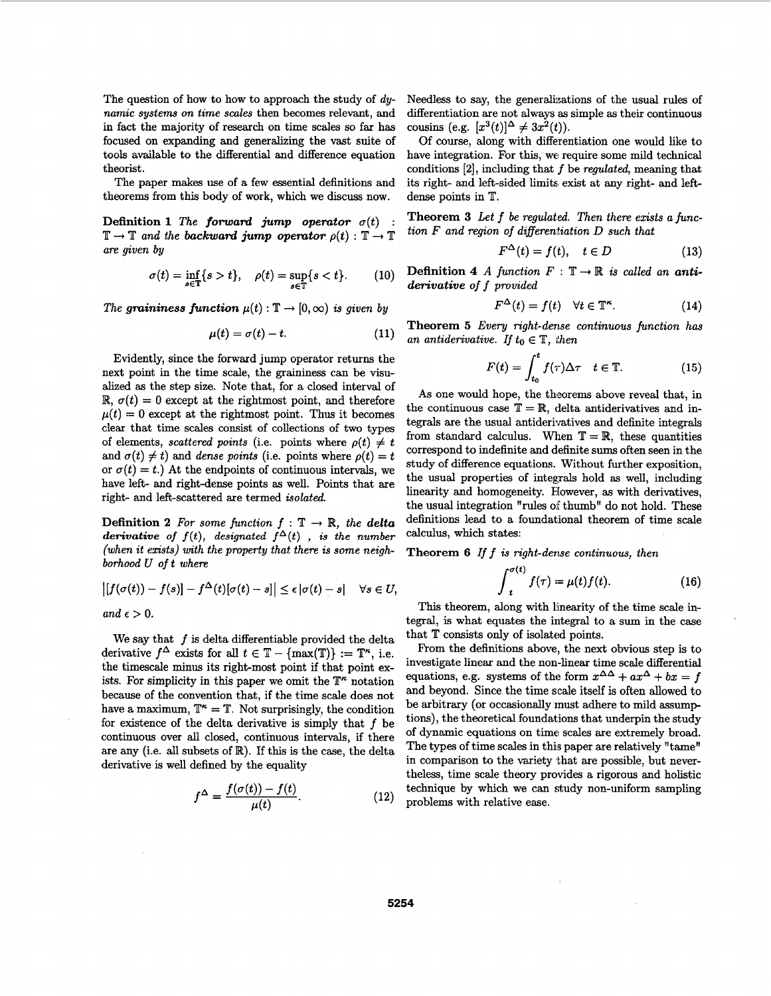The question of how to how to approach the study of *dynamic systems on time scales* then becomes relevant, and in fact the majority of research on time scales so far has focused on expanding and generalizing the vast suite of tools available to the differential and difference equation theorist.

The paper makes use of a few essential definitions and theorems from this body of work, which we discuss now.

**Definition 1** *The forward jump operator*  $\sigma(t)$  $\mathbb{T} \to \mathbb{T}$  and the backward jump operator  $\rho(t) : \mathbb{T} \to \mathbb{T}$ *are given by* 

$$
\sigma(t) = \inf_{s \in \mathbb{T}} \{s > t\}, \quad \rho(t) = \sup_{s \in \mathbb{T}} \{s < t\}. \tag{10}
$$

*The graininess function*  $\mu(t) : \mathbb{T} \to [0, \infty)$  *is given by* 

$$
\mu(t) = \sigma(t) - t. \tag{11}
$$

Evidently, since the forward jump operator returns the next point in the time scale, the graininess can be visu*alized* **as** the step size. Note that, for a closed interval of  $\mathbb{R}, \sigma(t) = 0$  except at the rightmost point, and therefore  $\mu(t) = 0$  except at the rightmost point. Thus it becomes clear that time scales consist of collections of two types of elements, *scattered points* (i.e. points where  $\rho(t) \neq t$ and  $\sigma(t) \neq t$ ) and *dense points* (i.e. points where  $\rho(t) = t$ or  $\sigma(t) = t$ .) At the endpoints of continuous intervals, we have left- and right-dense points **as** well. Points that are right- and left-scattered axe termed *isolated.* 

**Definition 2** For some function  $f : \mathbb{T} \to \mathbb{R}$ , the delta derivative of  $f(t)$ , designated  $f^{\Delta}(t)$ , is the number (when it exists) with the property that there is some neighborhood U of t where

$$
\big| [f(\sigma(t)) - f(s)] - f^{\Delta}(t) [\sigma(t) - s] \big| \leq \epsilon |\sigma(t) - s| \quad \forall s \in U
$$

 $and \epsilon > 0.$ 

We say that *f* is delta differentiable provided the delta derivative  $f^{\Delta}$  exists for all  $t \in \mathbb{T} - \{\max(\mathbb{T})\} := \mathbb{T}^{\kappa}$ , i.e. the timescale minus its right-most point if that point exists. For simplicity in this paper we omit the  $T^{\kappa}$  notation because of the convention that, if the time scale does not have a maximum,  $T^* = T$ . Not surprisingly, the condition for existence of the delta derivative is simply that **f** be continuous over all closed, continuous intervals, if there are any (i.e. **all** subsets of R). If this is the case, the delta derivative is well defined by the equality

$$
f^{\Delta} = \frac{f(\sigma(t)) - f(t)}{\mu(t)}.
$$
 (12)

Needless to say, the generalizations of the usual rules of differentiation are not always **as** simple **as** their continuous cousins (e.g.  $[x^3(t)]^{\Delta} \neq 3x^2(t)$ ).

Of course, along with differentiation one would like to have integration. For this, we require some mild technical conditions [2], including that *f* be *regulated,* meaning that its right- and left-sided limits exist at any right- and leftdense points in T.

**Theorem 3** *Let* **f** *be regulated. Then there exists a function F and region of differentiation D such that* 

$$
F^{\Delta}(t) = f(t), \quad t \in D \tag{13}
$$

**Definition 4** *A* function  $F : \mathbb{T} \to \mathbb{R}$  is called an anti*derivative of* **f** *provided* 

$$
F^{\Delta}(t) = f(t) \quad \forall t \in \mathbb{T}^{\kappa}.
$$
 (14)

**Theorem 5** *Every right-dense continuous function has an antiderivative. If*  $t_0 \in \mathbb{T}$ , *then* 

$$
F(t) = \int_{t_0}^t f(\tau) \Delta \tau \quad t \in \mathbb{T}.
$$
 (15)

**As** one would hope, the theorems above reveal that, in the continuous case  $T = \mathbb{R}$ , delta antiderivatives and integrals are the usual antiderivatives and definite integrals from standard calculus. When  $T = \mathbb{R}$ , these quantities correspond to indefinite and definite **sums** often seen in the study of difference equations. Without further exposition, the usual properties of integrals hold **as** well, including linearity and homogeneity. However, **as** with derivatives, the usual integration "rules of thumb" do not hold. These definitions lead to a foundational theorem of time scale calculus, which states:

**Theorem 6** If  $f$  is right-dense continuous, then

$$
\int_{t}^{\sigma(t)} f(\tau) = \mu(t) f(t). \tag{16}
$$

This theorem, along with Emearity of the time scale integral, is what equates the integral to a **sum** in the case that T consists only of isolated points.

From the definitions above, the next obvious step is to investigate linear and the non-linear time scale differential equations, e.g. systems of the form  $x^{\Delta \Delta} + ax^{\Delta} + bx = f$ and beyond. Since the time scale itself is often allowed to be arbitrary (or occasionally must adhere to mild assump tions), the theoretical foundations that underpin the study of dynamic equations on time scales are extremely broad. The types of time scales in this paper are relatively "tame" in comparison to the variety that are possible, but nevertheless, time scale theory provides a rigorous and holistic technique by which we can study non-uniform sampling problems with relative ease.